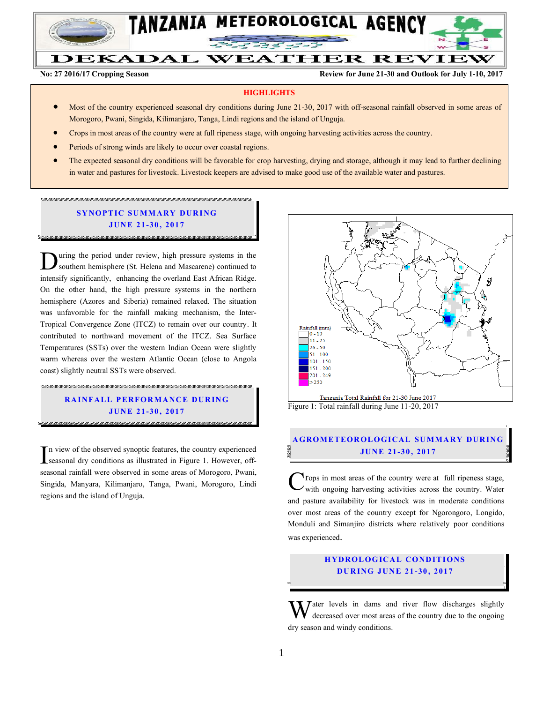

# DEKADAL WEATHER REVIEW

**No: 27 2016/17 Cropping Season Review for June 21-30 and Outlook for July 1-10, 2017**

#### **HIGHLIGHTS**

- Most of the country experienced seasonal dry conditions during June 21-30, 2017 with off-seasonal rainfall observed in some areas of Morogoro, Pwani, Singida, Kilimanjaro, Tanga, Lindi regions and the island of Unguja.
- Crops in most areas of the country were at full ripeness stage, with ongoing harvesting activities across the country.
- Periods of strong winds are likely to occur over coastal regions.
- The expected seasonal dry conditions will be favorable for crop harvesting, drying and storage, although it may lead to further declining in water and pastures for livestock. Livestock keepers are advised to make good use of the available water and pastures.

### **SYNOPTIC SUMMARY DURING JUN E 21-30 , 2017**

uring the period under review, high pressure systems in the southern hemisphere (St. Helena and Mascarene) continued to **I.** Southern hemisphere (St. Helena and Mascarene) continued to intensify significantly, enhancing the overland East African Ridge. On the other hand, the high pressure systems in the northern hemisphere (Azores and Siberia) remained relaxed. The situation was unfavorable for the rainfall making mechanism, the Inter-Tropical Convergence Zone (ITCZ) to remain over our country. It contributed to northward movement of the ITCZ. Sea Surface Temperatures (SSTs) over the western Indian Ocean were slightly warm whereas over the western Atlantic Ocean (close to Angola coast) slightly neutral SSTs were observed.

### **RAINFALL PERFORMANCE DURING JUN E 21-30 , 2017**

n view of the observed synoptic features, the country experienced In view of the observed synoptic features, the country experienced<br>seasonal dry conditions as illustrated in Figure 1. However, offseasonal rainfall were observed in some areas of Morogoro, Pwani, Singida, Manyara, Kilimanjaro, Tanga, Pwani, Morogoro, Lindi regions and the island of Unguja.



Tanzania Total Rainfall for 21-30 June 2017 Figure 1: Total rainfall during June 11-20, 2017

#### **A GROM ETEOR OLO GICAL SU MMA RY DUR IN G JUN E 21-30 , 2017**

 $\mathbf{r}_{\text{rops}}$  in most areas of the country were at full ripeness stage,  $\mathbf{v}$  with ongoing harvesting activities across the country. Water and pasture availability for livestock was in moderate conditions over most areas of the country except for Ngorongoro, Longido, Monduli and Simanjiro districts where relatively poor conditions was experienced. C

#### **HYDROLOGICAL CONDITIONS DU R ING JUN E 21 -30 , 2017**

 $\bf{W}$  ater levels in dams and river flow discharges slightly decreased over most areas of the country due to the ongoing decreased over most areas of the country due to the ongoing dry season and windy conditions.